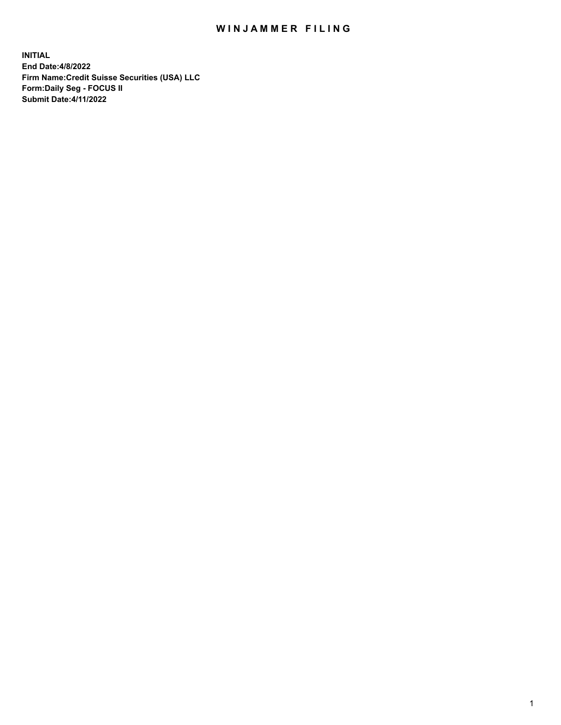# WIN JAMMER FILING

**INITIAL End Date:4/8/2022 Firm Name:Credit Suisse Securities (USA) LLC Form:Daily Seg - FOCUS II Submit Date:4/11/2022**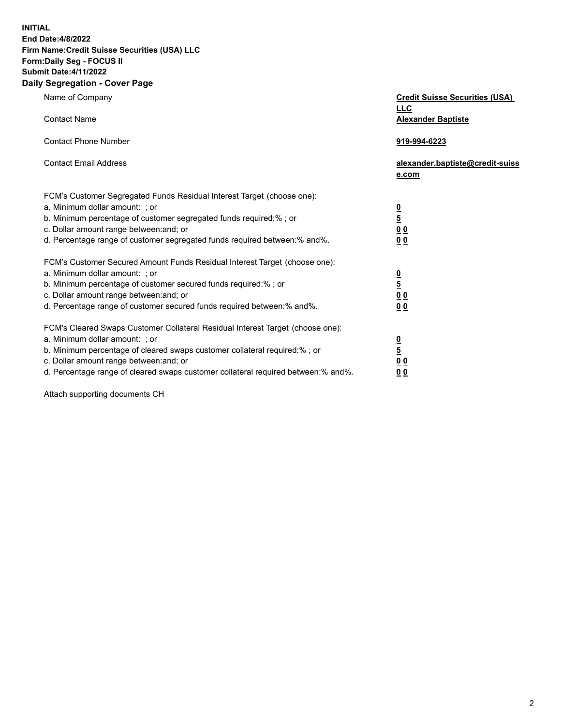**INITIAL End Date:4/8/2022** 

#### **Firm Name:Credit Suisse Securities (USA) LLC Form:Daily Seg - FOCUS II Submit Date:4/11/2022**

#### **Daily Segregation - Cover Page**

| Name of Company                                                                                                                                                                                                                                                                                                                | <b>Credit Suisse Securities (USA)</b><br><b>LLC</b>                   |
|--------------------------------------------------------------------------------------------------------------------------------------------------------------------------------------------------------------------------------------------------------------------------------------------------------------------------------|-----------------------------------------------------------------------|
| <b>Contact Name</b>                                                                                                                                                                                                                                                                                                            | <b>Alexander Baptiste</b>                                             |
| <b>Contact Phone Number</b>                                                                                                                                                                                                                                                                                                    | 919-994-6223                                                          |
| <b>Contact Email Address</b>                                                                                                                                                                                                                                                                                                   | alexander.baptiste@credit-suiss<br>e.com                              |
| FCM's Customer Segregated Funds Residual Interest Target (choose one):<br>a. Minimum dollar amount: ; or<br>b. Minimum percentage of customer segregated funds required:% ; or<br>c. Dollar amount range between: and; or<br>d. Percentage range of customer segregated funds required between:% and%.                         | $\frac{\frac{0}{5}}{\frac{0}{0}}$<br>0 <sub>0</sub>                   |
| FCM's Customer Secured Amount Funds Residual Interest Target (choose one):<br>a. Minimum dollar amount: ; or<br>b. Minimum percentage of customer secured funds required:%; or<br>c. Dollar amount range between: and; or<br>d. Percentage range of customer secured funds required between:% and%.                            | $\frac{0}{5}$<br>$\underline{0}$<br>$\underline{0}$<br>0 <sub>0</sub> |
| FCM's Cleared Swaps Customer Collateral Residual Interest Target (choose one):<br>a. Minimum dollar amount: ; or<br>b. Minimum percentage of cleared swaps customer collateral required:% ; or<br>c. Dollar amount range between: and; or<br>d. Percentage range of cleared swaps customer collateral required between:% and%. | $\frac{0}{5}$<br>0 <sub>0</sub><br>0 <sub>0</sub>                     |

Attach supporting documents CH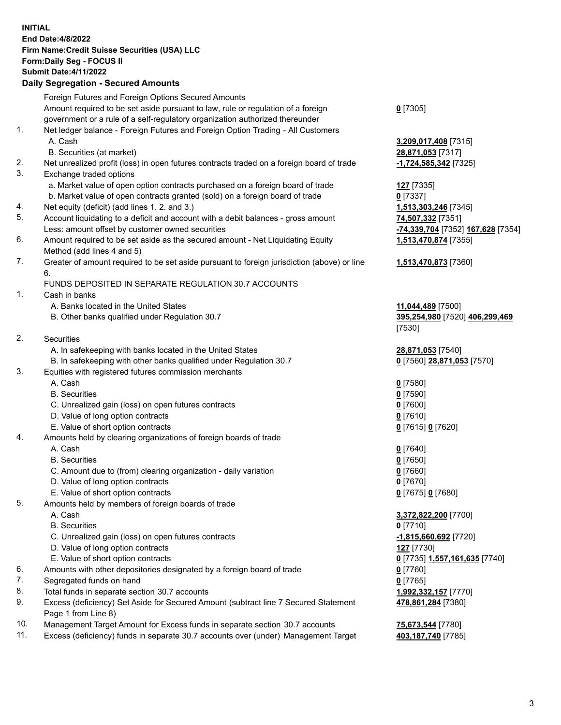## **INITIAL End Date:4/8/2022 Firm Name:Credit Suisse Securities (USA) LLC Form:Daily Seg - FOCUS II Submit Date:4/11/2022**

## **Daily Segregation - Secured Amounts**

|     | Foreign Futures and Foreign Options Secured Amounts                                                        |                                   |
|-----|------------------------------------------------------------------------------------------------------------|-----------------------------------|
|     | Amount required to be set aside pursuant to law, rule or regulation of a foreign                           | $0$ [7305]                        |
|     | government or a rule of a self-regulatory organization authorized thereunder                               |                                   |
| 1.  | Net ledger balance - Foreign Futures and Foreign Option Trading - All Customers                            |                                   |
|     | A. Cash                                                                                                    | 3,209,017,408 [7315]              |
|     | B. Securities (at market)                                                                                  | 28,871,053 [7317]                 |
| 2.  | Net unrealized profit (loss) in open futures contracts traded on a foreign board of trade                  | -1,724,585,342 [7325]             |
| 3.  | Exchange traded options                                                                                    |                                   |
|     | a. Market value of open option contracts purchased on a foreign board of trade                             | 127 [7335]                        |
|     | b. Market value of open contracts granted (sold) on a foreign board of trade                               | $0$ [7337]                        |
| 4.  | Net equity (deficit) (add lines 1. 2. and 3.)                                                              | 1,513,303,246 [7345]              |
| 5.  | Account liquidating to a deficit and account with a debit balances - gross amount                          | 74,507,332 [7351]                 |
|     | Less: amount offset by customer owned securities                                                           | -74,339,704 [7352] 167,628 [7354] |
| 6.  | Amount required to be set aside as the secured amount - Net Liquidating Equity                             | 1,513,470,874 [7355]              |
|     | Method (add lines 4 and 5)                                                                                 |                                   |
| 7.  | Greater of amount required to be set aside pursuant to foreign jurisdiction (above) or line                | 1,513,470,873 [7360]              |
|     | 6.                                                                                                         |                                   |
|     | FUNDS DEPOSITED IN SEPARATE REGULATION 30.7 ACCOUNTS                                                       |                                   |
| 1.  | Cash in banks                                                                                              |                                   |
|     | A. Banks located in the United States                                                                      | 11,044,489 [7500]                 |
|     | B. Other banks qualified under Regulation 30.7                                                             | 395,254,980 [7520] 406,299,469    |
|     |                                                                                                            | [7530]                            |
| 2.  | Securities                                                                                                 |                                   |
|     | A. In safekeeping with banks located in the United States                                                  | 28,871,053 [7540]                 |
|     | B. In safekeeping with other banks qualified under Regulation 30.7                                         | 0 [7560] 28,871,053 [7570]        |
| 3.  | Equities with registered futures commission merchants                                                      |                                   |
|     | A. Cash                                                                                                    | $0$ [7580]                        |
|     | <b>B.</b> Securities                                                                                       | $0$ [7590]                        |
|     | C. Unrealized gain (loss) on open futures contracts                                                        | $0$ [7600]                        |
|     | D. Value of long option contracts                                                                          | $0$ [7610]                        |
|     | E. Value of short option contracts                                                                         | 0 [7615] 0 [7620]                 |
| 4.  | Amounts held by clearing organizations of foreign boards of trade                                          |                                   |
|     | A. Cash                                                                                                    | $0$ [7640]                        |
|     | <b>B.</b> Securities                                                                                       | $0$ [7650]                        |
|     | C. Amount due to (from) clearing organization - daily variation                                            | $0$ [7660]                        |
|     | D. Value of long option contracts                                                                          | $0$ [7670]                        |
|     | E. Value of short option contracts                                                                         | 0 [7675] 0 [7680]                 |
| 5.  | Amounts held by members of foreign boards of trade                                                         |                                   |
|     | A. Cash                                                                                                    | 3,372,822,200 [7700]              |
|     | <b>B.</b> Securities                                                                                       | $0$ [7710]                        |
|     | C. Unrealized gain (loss) on open futures contracts                                                        | $-1,815,660,692$ [7720]           |
|     | D. Value of long option contracts                                                                          | <b>127</b> [7730]                 |
|     | E. Value of short option contracts                                                                         | 0 [7735] 1,557,161,635 [7740]     |
| 6.  | Amounts with other depositories designated by a foreign board of trade                                     | $0$ [7760]                        |
| 7.  | Segregated funds on hand                                                                                   | $0$ [7765]                        |
| 8.  | Total funds in separate section 30.7 accounts                                                              | 1,992,332,157 [7770]              |
| 9.  | Excess (deficiency) Set Aside for Secured Amount (subtract line 7 Secured Statement<br>Page 1 from Line 8) | 478,861,284 [7380]                |
| 10. | Management Target Amount for Excess funds in separate section 30.7 accounts                                | 75,673,544 [7780]                 |
|     |                                                                                                            |                                   |

11. Excess (deficiency) funds in separate 30.7 accounts over (under) Management Target **403,187,740** [7785]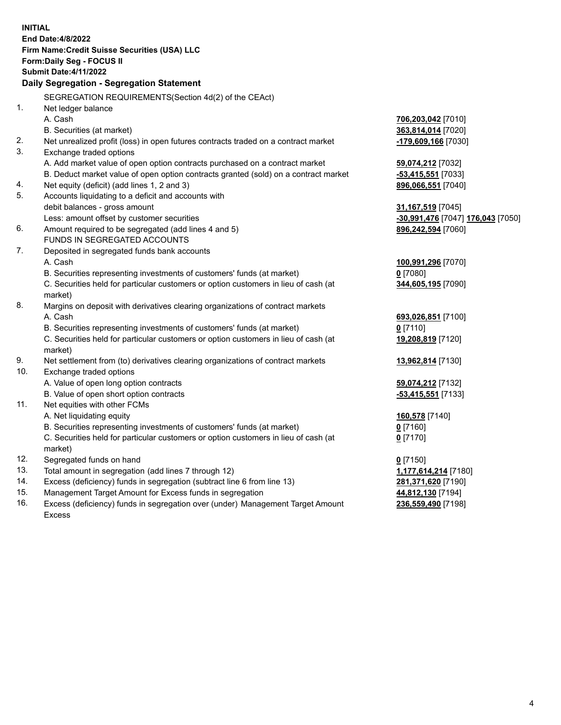| <b>INITIAL</b> |                                                                                     |                                   |
|----------------|-------------------------------------------------------------------------------------|-----------------------------------|
|                | End Date: 4/8/2022                                                                  |                                   |
|                | Firm Name: Credit Suisse Securities (USA) LLC                                       |                                   |
|                | Form: Daily Seg - FOCUS II                                                          |                                   |
|                | <b>Submit Date:4/11/2022</b>                                                        |                                   |
|                | Daily Segregation - Segregation Statement                                           |                                   |
|                | SEGREGATION REQUIREMENTS(Section 4d(2) of the CEAct)                                |                                   |
| 1.             | Net ledger balance                                                                  |                                   |
|                | A. Cash                                                                             | 706,203,042 [7010]                |
|                | B. Securities (at market)                                                           | 363,814,014 [7020]                |
| 2.             | Net unrealized profit (loss) in open futures contracts traded on a contract market  | -179,609,166 [7030]               |
| 3.             | Exchange traded options                                                             |                                   |
|                | A. Add market value of open option contracts purchased on a contract market         | 59,074,212 [7032]                 |
|                | B. Deduct market value of open option contracts granted (sold) on a contract market | -53,415,551 [7033]                |
| 4.             | Net equity (deficit) (add lines 1, 2 and 3)                                         | 896,066,551 [7040]                |
| 5.             | Accounts liquidating to a deficit and accounts with                                 |                                   |
|                | debit balances - gross amount                                                       | 31,167,519 [7045]                 |
|                | Less: amount offset by customer securities                                          | -30,991,476 [7047] 176,043 [7050] |
| 6.             | Amount required to be segregated (add lines 4 and 5)                                | 896,242,594 [7060]                |
|                | FUNDS IN SEGREGATED ACCOUNTS                                                        |                                   |
| 7.             | Deposited in segregated funds bank accounts                                         |                                   |
|                | A. Cash                                                                             | 100,991,296 [7070]                |
|                | B. Securities representing investments of customers' funds (at market)              | $0$ [7080]                        |
|                | C. Securities held for particular customers or option customers in lieu of cash (at | 344,605,195 [7090]                |
|                | market)                                                                             |                                   |
| 8.             | Margins on deposit with derivatives clearing organizations of contract markets      |                                   |
|                | A. Cash                                                                             | 693,026,851 [7100]                |
|                | B. Securities representing investments of customers' funds (at market)              | $0$ [7110]                        |
|                | C. Securities held for particular customers or option customers in lieu of cash (at | 19,208,819 [7120]                 |
|                | market)                                                                             |                                   |
| 9.<br>10.      | Net settlement from (to) derivatives clearing organizations of contract markets     | 13,962,814 [7130]                 |
|                | Exchange traded options                                                             |                                   |
|                | A. Value of open long option contracts<br>B. Value of open short option contracts   | 59,074,212 [7132]                 |
| 11.            | Net equities with other FCMs                                                        | -53,415,551 [7133]                |
|                | A. Net liquidating equity                                                           |                                   |
|                | B. Securities representing investments of customers' funds (at market)              | 160,578 [7140]<br>$0$ [7160]      |
|                | C. Securities held for particular customers or option customers in lieu of cash (at | $0$ [7170]                        |
|                | market)                                                                             |                                   |
| 12.            | Segregated funds on hand                                                            | $0$ [7150]                        |
| 13.            | Total amount in segregation (add lines 7 through 12)                                | 1,177,614,214 [7180]              |
| 14.            | Excess (deficiency) funds in segregation (subtract line 6 from line 13)             | 281,371,620 [7190]                |
| 15.            | Management Target Amount for Excess funds in segregation                            | 44,812,130 [7194]                 |
| 16.            | Excess (deficiency) funds in segregation over (under) Management Target Amount      | 236,559,490 [7198]                |
|                | <b>Excess</b>                                                                       |                                   |